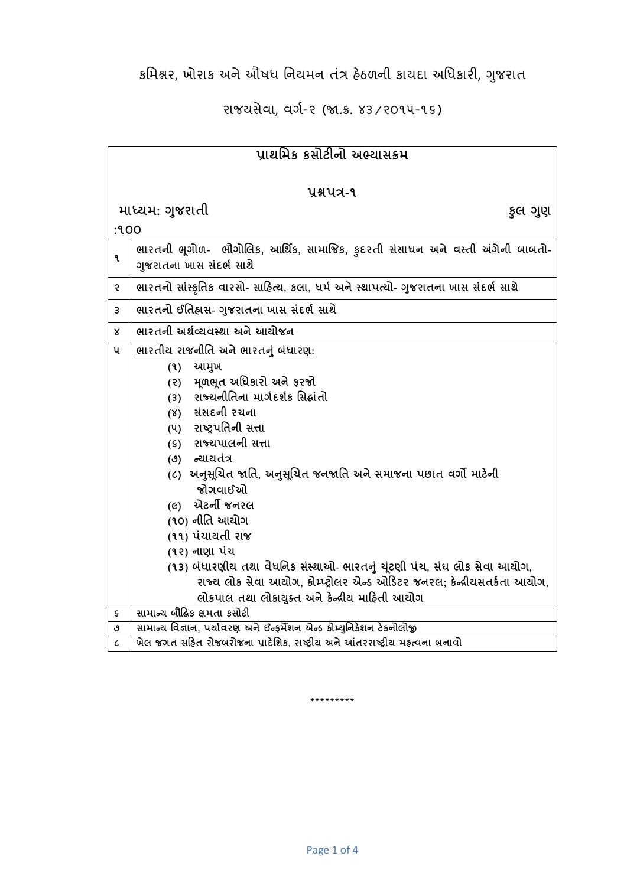કમિશ્નર, ખોરાક અને ઔષધ નિયમન તંત્ર હેઠળની કાયદા અધિકારી, ગુજરાત

રાજયસેવા, વર્ગ-૨ (જા.ક્ર. ૪૩/૨૦૧૫-૧૬)

| પાથમિક કસોટીનો અભ્યાસક્રમ   |                                                                                                                                                                                                                                                                                                                                                                                                                                                                                                                                                                                               |  |
|-----------------------------|-----------------------------------------------------------------------------------------------------------------------------------------------------------------------------------------------------------------------------------------------------------------------------------------------------------------------------------------------------------------------------------------------------------------------------------------------------------------------------------------------------------------------------------------------------------------------------------------------|--|
| yaux-9                      |                                                                                                                                                                                                                                                                                                                                                                                                                                                                                                                                                                                               |  |
| માધ્યમ: ગુજરાતી<br>કુલ ગુણ  |                                                                                                                                                                                                                                                                                                                                                                                                                                                                                                                                                                                               |  |
| :१००                        |                                                                                                                                                                                                                                                                                                                                                                                                                                                                                                                                                                                               |  |
| ۹                           | ભારતની ભૂગોળ- ભૌગોલિક, આર્થિક, સામાજિક, કુદરતી સંસાધન અને વસ્તી અંગેની બાબતો-<br>ગુજરાતના ખાસ સંદર્ભ સાથે                                                                                                                                                                                                                                                                                                                                                                                                                                                                                     |  |
| ę                           | ભારતનો સાંસ્કૃતિક વારસો- સાહિત્ય, કલા, ધર્મ અને સ્થાપત્યો- ગુજરાતના ખાસ સંદર્ભ સાથે                                                                                                                                                                                                                                                                                                                                                                                                                                                                                                           |  |
| 3                           | ભારતનો ઈતિહ્રાસ- ગુજરાતના ખાસ સંદર્ભ સાથે                                                                                                                                                                                                                                                                                                                                                                                                                                                                                                                                                     |  |
| x                           | ભારતની અર્થવ્યવસ્થા અને આયોજન                                                                                                                                                                                                                                                                                                                                                                                                                                                                                                                                                                 |  |
| ૫                           | ભારતીય રાજનીતિ અને ભારતનું બંધારણ:<br>આમુખ<br>(9)<br>મૂળભૂત અધિકારો અને ફરજો<br>(5)<br>(3) રાજ્યનીતિના માર્ગદર્શક સિદ્ધાંતો<br>(४) સંસદની રચના<br>(૫) રાષ્ટ્રપતિની સત્તા<br>(s) રાજ્યપાલની સત્તા<br>(૭) ન્યાયતંત્ર<br>(૮)  અનુસૂચિત જાતિ, અનુસૂચિત જનજાતિ અને સમાજના પછાત વર્ગો માટેની<br>જોગવાઈઓ<br><i>(૯)</i> એટર્ની જનરલ<br>(૧૦) નીતિ આયોગ<br>(૧૧) પંચાયતી રાજ<br>(૧૨) નાણા પંચ<br>(૧૩) બંધારણીય તથા વૈધનિક સંસ્થાઓ- ભારતનું ચૂંટણી પંચ, સંઘ લોક સેવા આયોગ,<br>રાજ્ય લોક સેવા આયોગ, કોમ્પ્ટ્રોલર એન્ડ ઓડિટર જનરલ; કેન્ન્રીયસતર્કતા આયોગ,<br>લોકપાલ તથા લોકાયુક્ત અને કેન્દ્રીય માહિતી આયોગ |  |
| ς                           | સામાન્ય બૌદ્ધિક ક્ષમતા કસોટી                                                                                                                                                                                                                                                                                                                                                                                                                                                                                                                                                                  |  |
| ٯ                           | સામાન્ય વિજ્ઞાન, પર્યાવરણ અને ઈન્ફર્મેશન એન્ડ કોમ્યુનિકેશન ટેકનોલોજી                                                                                                                                                                                                                                                                                                                                                                                                                                                                                                                          |  |
| $\mathcal{L}_{\mathcal{L}}$ | ખેલ જગત સહિત રોજબરોજના પ્રાદેશિક, રાષ્ટ્રીય અને આંતરરાષ્ટ્રીય મહ્ત્વના બનાવો                                                                                                                                                                                                                                                                                                                                                                                                                                                                                                                  |  |

\*\*\*\*\*\*\*\*\*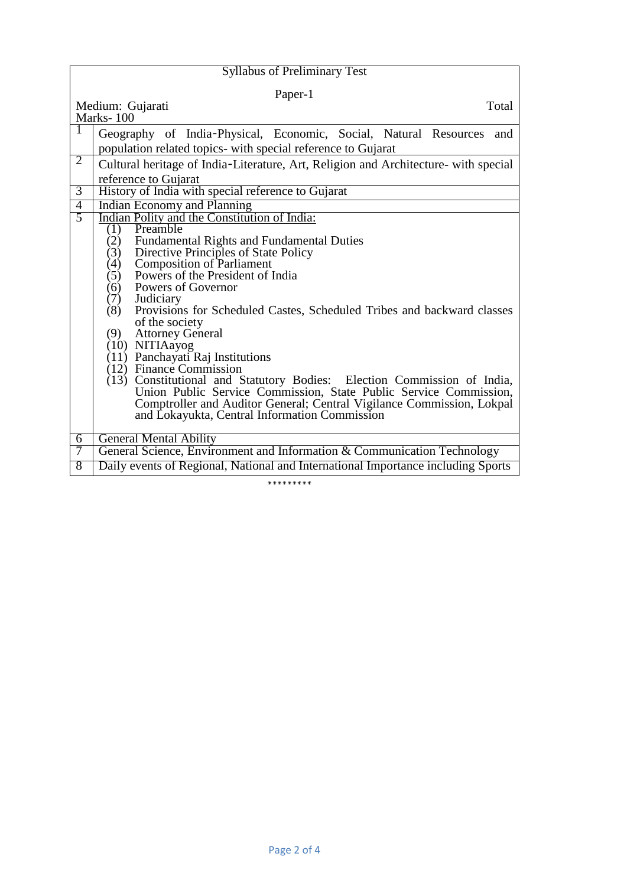| <b>Syllabus of Preliminary Test</b>               |                                                                                                        |  |
|---------------------------------------------------|--------------------------------------------------------------------------------------------------------|--|
| Paper-1<br>Medium: Gujarati<br>Total<br>Marks-100 |                                                                                                        |  |
|                                                   |                                                                                                        |  |
|                                                   | Geography of India-Physical, Economic, Social, Natural Resources<br>and                                |  |
|                                                   | population related topics- with special reference to Gujarat                                           |  |
| $\overline{2}$                                    | Cultural heritage of India-Literature, Art, Religion and Architecture- with special                    |  |
|                                                   | reference to Gujarat                                                                                   |  |
| $\overline{3}$                                    | History of India with special reference to Gujarat                                                     |  |
| $\overline{4}$                                    | <b>Indian Economy and Planning</b>                                                                     |  |
| $\overline{5}$                                    | Indian Polity and the Constitution of India:                                                           |  |
|                                                   | Preamble<br>(1)                                                                                        |  |
|                                                   | (2)<br><b>Fundamental Rights and Fundamental Duties</b><br>(3)<br>Directive Principles of State Policy |  |
|                                                   | <b>Composition of Parliament</b><br>(4)                                                                |  |
|                                                   | Powers of the President of India<br>(5)                                                                |  |
|                                                   | Powers of Governor<br>(6)                                                                              |  |
|                                                   | (7)<br>Judiciary                                                                                       |  |
|                                                   | Provisions for Scheduled Castes, Scheduled Tribes and backward classes<br>(8)                          |  |
|                                                   | of the society                                                                                         |  |
|                                                   | (9)<br><b>Attorney General</b><br>(10) NITIAayog                                                       |  |
|                                                   | (11) Panchayati Raj Institutions                                                                       |  |
|                                                   | $(12)$ Finance Commission                                                                              |  |
|                                                   | (13) Constitutional and Statutory Bodies: Election Commission of India,                                |  |
|                                                   | Union Public Service Commission, State Public Service Commission,                                      |  |
|                                                   | Comptroller and Auditor General; Central Vigilance Commission, Lokpal                                  |  |
|                                                   | and Lokayukta, Central Information Commission                                                          |  |
| 6                                                 | <b>General Mental Ability</b>                                                                          |  |
| 7                                                 | General Science, Environment and Information & Communication Technology                                |  |
| 8                                                 | Daily events of Regional, National and International Importance including Sports                       |  |
|                                                   |                                                                                                        |  |

\*\*\*\*\*\*\*\*\*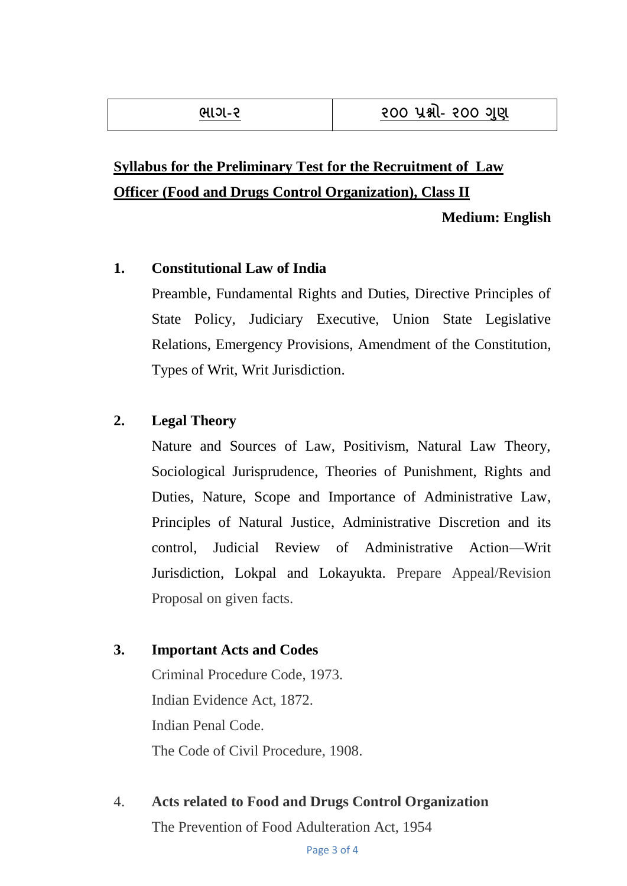# **Syllabus for the Preliminary Test for the Recruitment of Law Officer (Food and Drugs Control Organization), Class II**

**Medium: English**

#### **1. Constitutional Law of India**

Preamble, Fundamental Rights and Duties, Directive Principles of State Policy, Judiciary Executive, Union State Legislative Relations, Emergency Provisions, Amendment of the Constitution, Types of Writ, Writ Jurisdiction.

### **2. Legal Theory**

Nature and Sources of Law, Positivism, Natural Law Theory, Sociological Jurisprudence, Theories of Punishment, Rights and Duties, Nature, Scope and Importance of Administrative Law, Principles of Natural Justice, Administrative Discretion and its control, Judicial Review of Administrative Action—Writ Jurisdiction, Lokpal and Lokayukta. Prepare Appeal/Revision Proposal on given facts.

### **3. Important Acts and Codes**

Criminal Procedure Code, 1973. Indian Evidence Act, 1872. Indian Penal Code. The Code of Civil Procedure, 1908.

4. **Acts related to Food and Drugs Control Organization** The Prevention of Food Adulteration Act, 1954